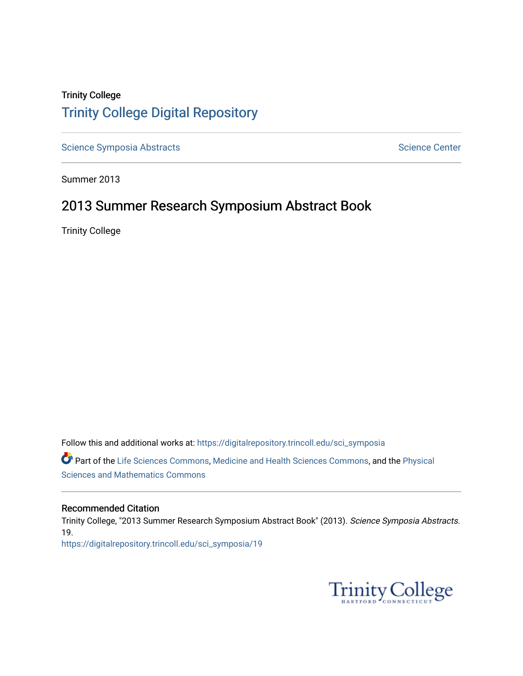## Trinity College [Trinity College Digital Repository](https://digitalrepository.trincoll.edu/)

[Science Symposia Abstracts](https://digitalrepository.trincoll.edu/sci_symposia) **Science Center** Science Center

Summer 2013

## 2013 Summer Research Symposium Abstract Book

Trinity College

Follow this and additional works at: [https://digitalrepository.trincoll.edu/sci\\_symposia](https://digitalrepository.trincoll.edu/sci_symposia?utm_source=digitalrepository.trincoll.edu%2Fsci_symposia%2F19&utm_medium=PDF&utm_campaign=PDFCoverPages)  Part of the [Life Sciences Commons,](http://network.bepress.com/hgg/discipline/1016?utm_source=digitalrepository.trincoll.edu%2Fsci_symposia%2F19&utm_medium=PDF&utm_campaign=PDFCoverPages) [Medicine and Health Sciences Commons,](http://network.bepress.com/hgg/discipline/648?utm_source=digitalrepository.trincoll.edu%2Fsci_symposia%2F19&utm_medium=PDF&utm_campaign=PDFCoverPages) and the [Physical](http://network.bepress.com/hgg/discipline/114?utm_source=digitalrepository.trincoll.edu%2Fsci_symposia%2F19&utm_medium=PDF&utm_campaign=PDFCoverPages)  [Sciences and Mathematics Commons](http://network.bepress.com/hgg/discipline/114?utm_source=digitalrepository.trincoll.edu%2Fsci_symposia%2F19&utm_medium=PDF&utm_campaign=PDFCoverPages) 

## Recommended Citation

Trinity College, "2013 Summer Research Symposium Abstract Book" (2013). Science Symposia Abstracts. 19. [https://digitalrepository.trincoll.edu/sci\\_symposia/19](https://digitalrepository.trincoll.edu/sci_symposia/19?utm_source=digitalrepository.trincoll.edu%2Fsci_symposia%2F19&utm_medium=PDF&utm_campaign=PDFCoverPages) 

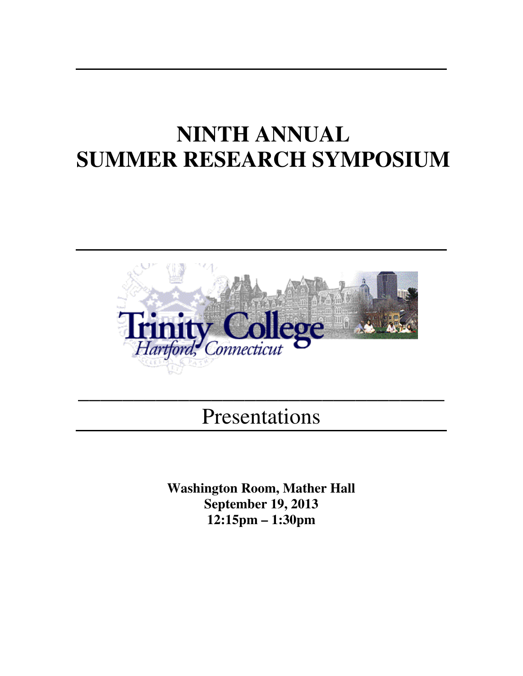# **NINTH ANNUAL SUMMER RESEARCH SYMPOSIUM**



Presentations

**\_\_\_\_\_\_\_\_\_\_\_\_\_\_\_\_\_\_\_\_\_\_\_\_\_\_\_\_\_\_\_\_\_** 

**Washington Room, Mather Hall September 19, 2013 12:15pm – 1:30pm**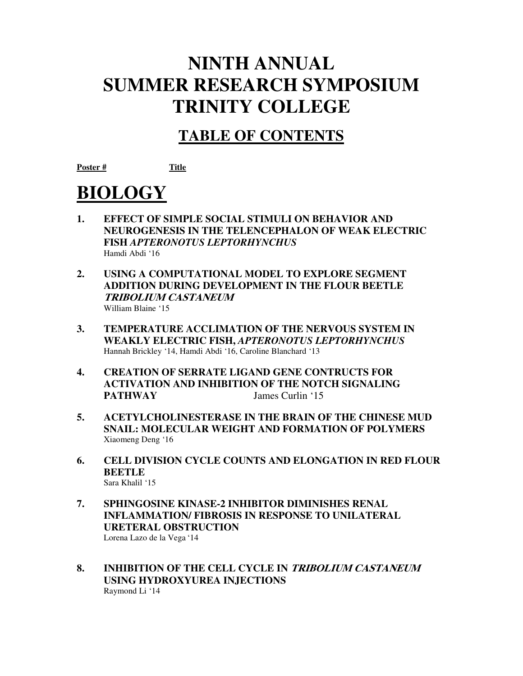## **NINTH ANNUAL SUMMER RESEARCH SYMPOSIUM TRINITY COLLEGE**

## **TABLE OF CONTENTS**

**Poster # Title** 

# **BIOLOGY**

- **1. EFFECT OF SIMPLE SOCIAL STIMULI ON BEHAVIOR AND NEUROGENESIS IN THE TELENCEPHALON OF WEAK ELECTRIC FISH** *APTERONOTUS LEPTORHYNCHUS* Hamdi Abdi '16
- **2. USING A COMPUTATIONAL MODEL TO EXPLORE SEGMENT ADDITION DURING DEVELOPMENT IN THE FLOUR BEETLE TRIBOLIUM CASTANEUM**  William Blaine '15
- **3. TEMPERATURE ACCLIMATION OF THE NERVOUS SYSTEM IN WEAKLY ELECTRIC FISH,** *APTERONOTUS LEPTORHYNCHUS* Hannah Brickley '14, Hamdi Abdi '16, Caroline Blanchard '13
- **4. CREATION OF SERRATE LIGAND GENE CONTRUCTS FOR ACTIVATION AND INHIBITION OF THE NOTCH SIGNALING PATHWAY** James Curlin '15
- **5. ACETYLCHOLINESTERASE IN THE BRAIN OF THE CHINESE MUD SNAIL: MOLECULAR WEIGHT AND FORMATION OF POLYMERS**  Xiaomeng Deng '16
- **6. CELL DIVISION CYCLE COUNTS AND ELONGATION IN RED FLOUR BEETLE**  Sara Khalil '15
- **7. SPHINGOSINE KINASE-2 INHIBITOR DIMINISHES RENAL INFLAMMATION/ FIBROSIS IN RESPONSE TO UNILATERAL URETERAL OBSTRUCTION** Lorena Lazo de la Vega '14
- **8. INHIBITION OF THE CELL CYCLE IN TRIBOLIUM CASTANEUM USING HYDROXYUREA INJECTIONS**  Raymond Li '14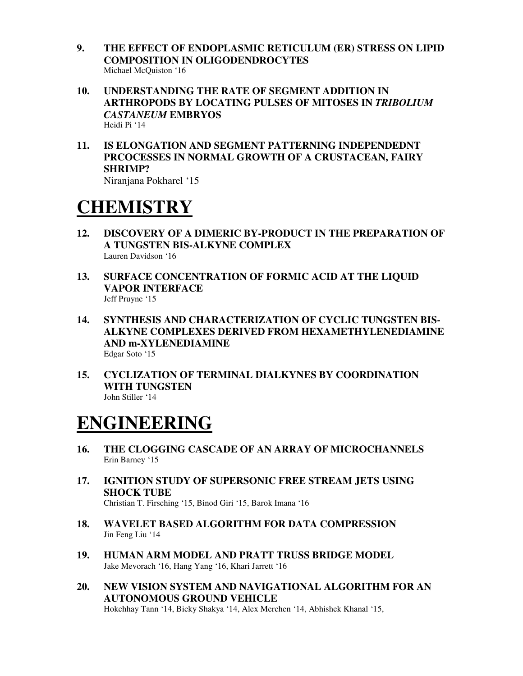- **9. THE EFFECT OF ENDOPLASMIC RETICULUM (ER) STRESS ON LIPID COMPOSITION IN OLIGODENDROCYTES** Michael McQuiston '16
- **10. UNDERSTANDING THE RATE OF SEGMENT ADDITION IN ARTHROPODS BY LOCATING PULSES OF MITOSES IN** *TRIBOLIUM CASTANEUM* **EMBRYOS**  Heidi Pi '14
- **11. IS ELONGATION AND SEGMENT PATTERNING INDEPENDEDNT PRCOCESSES IN NORMAL GROWTH OF A CRUSTACEAN, FAIRY SHRIMP?**  Niranjana Pokharel '15

## **CHEMISTRY**

- **12. DISCOVERY OF A DIMERIC BY-PRODUCT IN THE PREPARATION OF A TUNGSTEN BIS-ALKYNE COMPLEX**  Lauren Davidson '16
- **13. SURFACE CONCENTRATION OF FORMIC ACID AT THE LIQUID VAPOR INTERFACE**  Jeff Pruyne '15
- **14. SYNTHESIS AND CHARACTERIZATION OF CYCLIC TUNGSTEN BIS-ALKYNE COMPLEXES DERIVED FROM HEXAMETHYLENEDIAMINE AND m-XYLENEDIAMINE**  Edgar Soto '15
- **15. CYCLIZATION OF TERMINAL DIALKYNES BY COORDINATION WITH TUNGSTEN**  John Stiller '14

## **ENGINEERING**

- **16. THE CLOGGING CASCADE OF AN ARRAY OF MICROCHANNELS**  Erin Barney '15
- **17. IGNITION STUDY OF SUPERSONIC FREE STREAM JETS USING SHOCK TUBE**  Christian T. Firsching '15, Binod Giri '15, Barok Imana '16
- **18. WAVELET BASED ALGORITHM FOR DATA COMPRESSION**  Jin Feng Liu '14
- **19. HUMAN ARM MODEL AND PRATT TRUSS BRIDGE MODEL**  Jake Mevorach '16, Hang Yang '16, Khari Jarrett '16
- **20. NEW VISION SYSTEM AND NAVIGATIONAL ALGORITHM FOR AN AUTONOMOUS GROUND VEHICLE**

Hokchhay Tann '14, Bicky Shakya '14, Alex Merchen '14, Abhishek Khanal '15,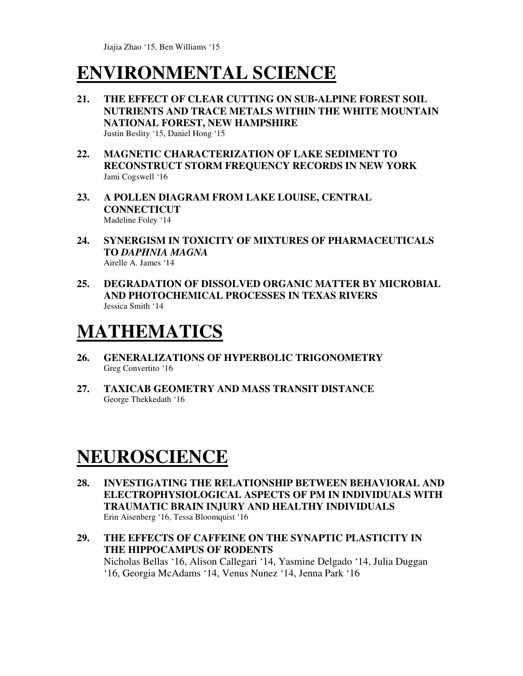## **ENVIRONMENTAL SCIENCE**

- **21. THE EFFECT OF CLEAR CUTTING ON SUB-ALPINE FOREST SOIL NUTRIENTS AND TRACE METALS WITHIN THE WHITE MOUNTAIN NATIONAL FOREST, NEW HAMPSHIRE**  Justin Beslity '15, Daniel Hong '15
- **22. MAGNETIC CHARACTERIZATION OF LAKE SEDIMENT TO RECONSTRUCT STORM FREQUENCY RECORDS IN NEW YORK**  Jami Cogswell '16
- **23. A POLLEN DIAGRAM FROM LAKE LOUISE, CENTRAL CONNECTICUT**  Madeline Foley '14
- **24. SYNERGISM IN TOXICITY OF MIXTURES OF PHARMACEUTICALS TO** *DAPHNIA MAGNA* Airelle A. James '14
- **25. DEGRADATION OF DISSOLVED ORGANIC MATTER BY MICROBIAL AND PHOTOCHEMICAL PROCESSES IN TEXAS RIVERS**  Jessica Smith '14

# **MATHEMATICS**

- **26. GENERALIZATIONS OF HYPERBOLIC TRIGONOMETRY**  Greg Convertito '16
- **27. TAXICAB GEOMETRY AND MASS TRANSIT DISTANCE**  George Thekkedath '16

## **NEUROSCIENCE**

- **28. INVESTIGATING THE RELATIONSHIP BETWEEN BEHAVIORAL AND ELECTROPHYSIOLOGICAL ASPECTS OF PM IN INDIVIDUALS WITH TRAUMATIC BRAIN INJURY AND HEALTHY INDIVIDUALS**  Erin Aisenberg '16, Tessa Bloomquist '16
- **29. THE EFFECTS OF CAFFEINE ON THE SYNAPTIC PLASTICITY IN THE HIPPOCAMPUS OF RODENTS**  Nicholas Bellas '16, Alison Callegari '14, Yasmine Delgado '14, Julia Duggan '16, Georgia McAdams '14, Venus Nunez '14, Jenna Park '16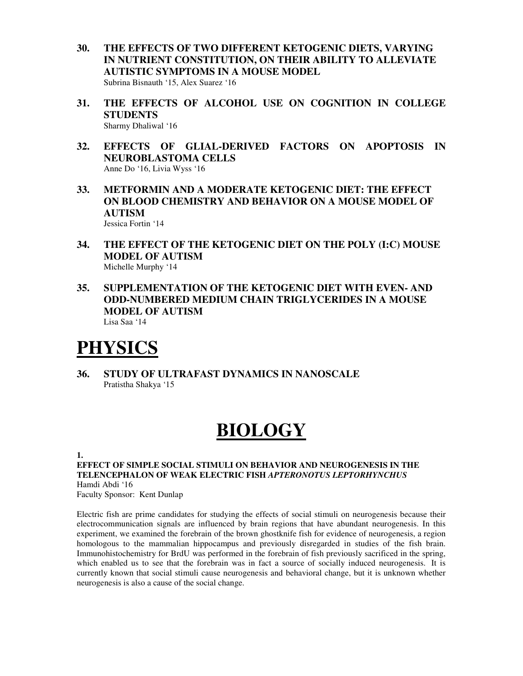- **30. THE EFFECTS OF TWO DIFFERENT KETOGENIC DIETS, VARYING IN NUTRIENT CONSTITUTION, ON THEIR ABILITY TO ALLEVIATE AUTISTIC SYMPTOMS IN A MOUSE MODEL**  Subrina Bisnauth '15, Alex Suarez '16
- **31. THE EFFECTS OF ALCOHOL USE ON COGNITION IN COLLEGE STUDENTS**

Sharmy Dhaliwal '16

- **32. EFFECTS OF GLIAL-DERIVED FACTORS ON APOPTOSIS IN NEUROBLASTOMA CELLS**  Anne Do '16, Livia Wyss '16
- **33. METFORMIN AND A MODERATE KETOGENIC DIET: THE EFFECT ON BLOOD CHEMISTRY AND BEHAVIOR ON A MOUSE MODEL OF AUTISM**  Jessica Fortin '14
- **34. THE EFFECT OF THE KETOGENIC DIET ON THE POLY (I:C) MOUSE MODEL OF AUTISM**  Michelle Murphy '14
- **35. SUPPLEMENTATION OF THE KETOGENIC DIET WITH EVEN- AND ODD-NUMBERED MEDIUM CHAIN TRIGLYCERIDES IN A MOUSE MODEL OF AUTISM**  Lisa Saa '14

## **PHYSICS**

**36. STUDY OF ULTRAFAST DYNAMICS IN NANOSCALE**  Pratistha Shakya '15

# **BIOLOGY**

**1.** 

**EFFECT OF SIMPLE SOCIAL STIMULI ON BEHAVIOR AND NEUROGENESIS IN THE TELENCEPHALON OF WEAK ELECTRIC FISH** *APTERONOTUS LEPTORHYNCHUS* Hamdi Abdi '16 Faculty Sponsor: Kent Dunlap

Electric fish are prime candidates for studying the effects of social stimuli on neurogenesis because their electrocommunication signals are influenced by brain regions that have abundant neurogenesis. In this experiment, we examined the forebrain of the brown ghostknife fish for evidence of neurogenesis, a region homologous to the mammalian hippocampus and previously disregarded in studies of the fish brain. Immunohistochemistry for BrdU was performed in the forebrain of fish previously sacrificed in the spring, which enabled us to see that the forebrain was in fact a source of socially induced neurogenesis. It is currently known that social stimuli cause neurogenesis and behavioral change, but it is unknown whether neurogenesis is also a cause of the social change.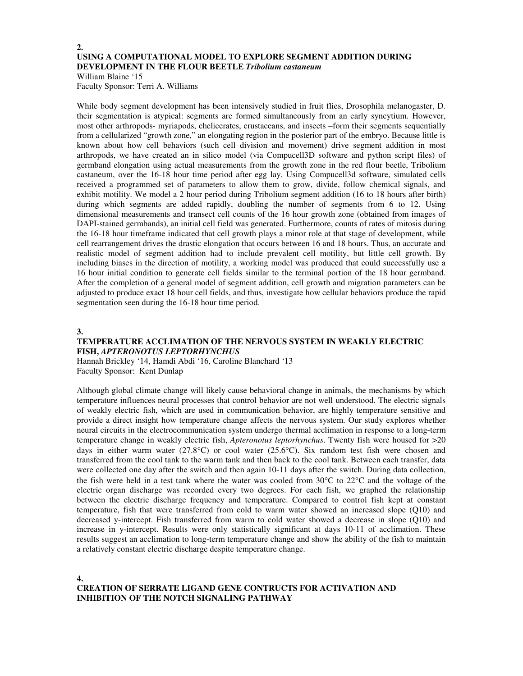#### **2. USING A COMPUTATIONAL MODEL TO EXPLORE SEGMENT ADDITION DURING DEVELOPMENT IN THE FLOUR BEETLE** *Tribolium castaneum* William Blaine '15

Faculty Sponsor: Terri A. Williams

While body segment development has been intensively studied in fruit flies, Drosophila melanogaster, D. their segmentation is atypical: segments are formed simultaneously from an early syncytium. However, most other arthropods- myriapods, chelicerates, crustaceans, and insects –form their segments sequentially from a cellularized "growth zone," an elongating region in the posterior part of the embryo. Because little is known about how cell behaviors (such cell division and movement) drive segment addition in most arthropods, we have created an in silico model (via Compucell3D software and python script files) of germband elongation using actual measurements from the growth zone in the red flour beetle, Tribolium castaneum, over the 16-18 hour time period after egg lay. Using Compucell3d software, simulated cells received a programmed set of parameters to allow them to grow, divide, follow chemical signals, and exhibit motility. We model a 2 hour period during Tribolium segment addition (16 to 18 hours after birth) during which segments are added rapidly, doubling the number of segments from 6 to 12. Using dimensional measurements and transect cell counts of the 16 hour growth zone (obtained from images of DAPI-stained germbands), an initial cell field was generated. Furthermore, counts of rates of mitosis during the 16-18 hour timeframe indicated that cell growth plays a minor role at that stage of development, while cell rearrangement drives the drastic elongation that occurs between 16 and 18 hours. Thus, an accurate and realistic model of segment addition had to include prevalent cell motility, but little cell growth. By including biases in the direction of motility, a working model was produced that could successfully use a 16 hour initial condition to generate cell fields similar to the terminal portion of the 18 hour germband. After the completion of a general model of segment addition, cell growth and migration parameters can be adjusted to produce exact 18 hour cell fields, and thus, investigate how cellular behaviors produce the rapid segmentation seen during the 16-18 hour time period.

#### **3.**

### **TEMPERATURE ACCLIMATION OF THE NERVOUS SYSTEM IN WEAKLY ELECTRIC FISH,** *APTERONOTUS LEPTORHYNCHUS*

Hannah Brickley '14, Hamdi Abdi '16, Caroline Blanchard '13 Faculty Sponsor: Kent Dunlap

Although global climate change will likely cause behavioral change in animals, the mechanisms by which temperature influences neural processes that control behavior are not well understood. The electric signals of weakly electric fish, which are used in communication behavior, are highly temperature sensitive and provide a direct insight how temperature change affects the nervous system. Our study explores whether neural circuits in the electrocommunication system undergo thermal acclimation in response to a long-term temperature change in weakly electric fish, *Apteronotus leptorhynchus*. Twenty fish were housed for >20 days in either warm water (27.8°C) or cool water (25.6°C). Six random test fish were chosen and transferred from the cool tank to the warm tank and then back to the cool tank. Between each transfer, data were collected one day after the switch and then again 10-11 days after the switch. During data collection, the fish were held in a test tank where the water was cooled from 30°C to 22°C and the voltage of the electric organ discharge was recorded every two degrees. For each fish, we graphed the relationship between the electric discharge frequency and temperature. Compared to control fish kept at constant temperature, fish that were transferred from cold to warm water showed an increased slope (Q10) and decreased y-intercept. Fish transferred from warm to cold water showed a decrease in slope (Q10) and increase in y-intercept. Results were only statistically significant at days 10-11 of acclimation. These results suggest an acclimation to long-term temperature change and show the ability of the fish to maintain a relatively constant electric discharge despite temperature change.

#### **4.**

### **CREATION OF SERRATE LIGAND GENE CONTRUCTS FOR ACTIVATION AND INHIBITION OF THE NOTCH SIGNALING PATHWAY**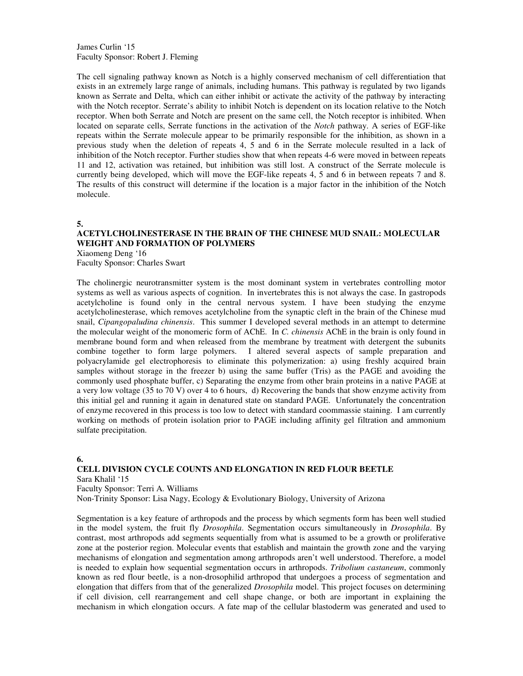James Curlin '15 Faculty Sponsor: Robert J. Fleming

The cell signaling pathway known as Notch is a highly conserved mechanism of cell differentiation that exists in an extremely large range of animals, including humans. This pathway is regulated by two ligands known as Serrate and Delta, which can either inhibit or activate the activity of the pathway by interacting with the Notch receptor. Serrate's ability to inhibit Notch is dependent on its location relative to the Notch receptor. When both Serrate and Notch are present on the same cell, the Notch receptor is inhibited. When located on separate cells, Serrate functions in the activation of the *Notch* pathway. A series of EGF-like repeats within the Serrate molecule appear to be primarily responsible for the inhibition, as shown in a previous study when the deletion of repeats 4, 5 and 6 in the Serrate molecule resulted in a lack of inhibition of the Notch receptor. Further studies show that when repeats 4-6 were moved in between repeats 11 and 12, activation was retained, but inhibition was still lost. A construct of the Serrate molecule is currently being developed, which will move the EGF-like repeats 4, 5 and 6 in between repeats 7 and 8. The results of this construct will determine if the location is a major factor in the inhibition of the Notch molecule.

**5.** 

## **ACETYLCHOLINESTERASE IN THE BRAIN OF THE CHINESE MUD SNAIL: MOLECULAR WEIGHT AND FORMATION OF POLYMERS**

Xiaomeng Deng '16 Faculty Sponsor: Charles Swart

The cholinergic neurotransmitter system is the most dominant system in vertebrates controlling motor systems as well as various aspects of cognition. In invertebrates this is not always the case. In gastropods acetylcholine is found only in the central nervous system. I have been studying the enzyme acetylcholinesterase, which removes acetylcholine from the synaptic cleft in the brain of the Chinese mud snail, *Cipangopaludina chinensis*. This summer I developed several methods in an attempt to determine the molecular weight of the monomeric form of AChE. In *C. chinensis* AChE in the brain is only found in membrane bound form and when released from the membrane by treatment with detergent the subunits combine together to form large polymers. I altered several aspects of sample preparation and polyacrylamide gel electrophoresis to eliminate this polymerization: a) using freshly acquired brain samples without storage in the freezer b) using the same buffer (Tris) as the PAGE and avoiding the commonly used phosphate buffer, c) Separating the enzyme from other brain proteins in a native PAGE at a very low voltage (35 to 70 V) over 4 to 6 hours, d) Recovering the bands that show enzyme activity from this initial gel and running it again in denatured state on standard PAGE. Unfortunately the concentration of enzyme recovered in this process is too low to detect with standard coommassie staining. I am currently working on methods of protein isolation prior to PAGE including affinity gel filtration and ammonium sulfate precipitation.

**6.** 

### **CELL DIVISION CYCLE COUNTS AND ELONGATION IN RED FLOUR BEETLE**  Sara Khalil '15 Faculty Sponsor: Terri A. Williams Non-Trinity Sponsor: Lisa Nagy, Ecology & Evolutionary Biology, University of Arizona

Segmentation is a key feature of arthropods and the process by which segments form has been well studied in the model system, the fruit fly *Drosophila*. Segmentation occurs simultaneously in *Drosophila*. By contrast, most arthropods add segments sequentially from what is assumed to be a growth or proliferative zone at the posterior region. Molecular events that establish and maintain the growth zone and the varying mechanisms of elongation and segmentation among arthropods aren't well understood. Therefore, a model is needed to explain how sequential segmentation occurs in arthropods. *Tribolium castaneum*, commonly known as red flour beetle, is a non-drosophilid arthropod that undergoes a process of segmentation and elongation that differs from that of the generalized *Drosophila* model. This project focuses on determining if cell division, cell rearrangement and cell shape change, or both are important in explaining the mechanism in which elongation occurs. A fate map of the cellular blastoderm was generated and used to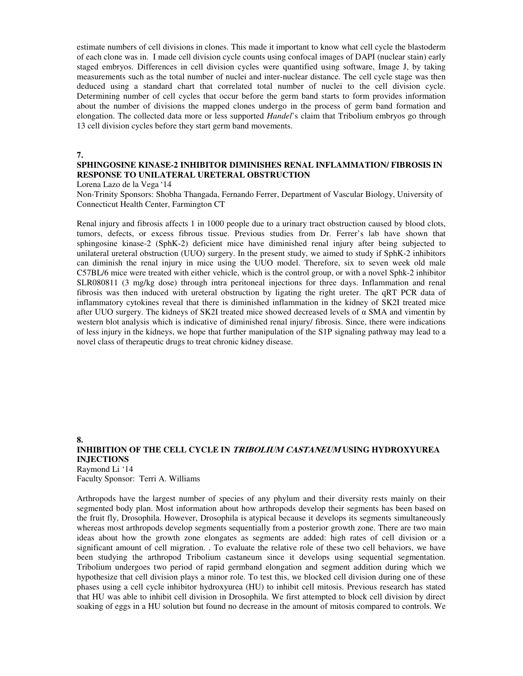estimate numbers of cell divisions in clones. This made it important to know what cell cycle the blastoderm of each clone was in. I made cell division cycle counts using confocal images of DAPI (nuclear stain) early staged embryos. Differences in cell division cycles were quantified using software, Image J, by taking measurements such as the total number of nuclei and inter-nuclear distance. The cell cycle stage was then deduced using a standard chart that correlated total number of nuclei to the cell division cycle. Determining number of cell cycles that occur before the germ band starts to form provides information about the number of divisions the mapped clones undergo in the process of germ band formation and elongation. The collected data more or less supported *Handel*'s claim that Tribolium embryos go through 13 cell division cycles before they start germ band movements.

#### **7.**

## **SPHINGOSINE KINASE-2 INHIBITOR DIMINISHES RENAL INFLAMMATION/ FIBROSIS IN RESPONSE TO UNILATERAL URETERAL OBSTRUCTION**

Lorena Lazo de la Vega '14

Non-Trinity Sponsors: Shobha Thangada, Fernando Ferrer, Department of Vascular Biology, University of Connecticut Health Center, Farmington CT

Renal injury and fibrosis affects 1 in 1000 people due to a urinary tract obstruction caused by blood clots, tumors, defects, or excess fibrous tissue. Previous studies from Dr. Ferrer's lab have shown that sphingosine kinase-2 (SphK-2) deficient mice have diminished renal injury after being subjected to unilateral ureteral obstruction (UUO) surgery. In the present study, we aimed to study if SphK-2 inhibitors can diminish the renal injury in mice using the UUO model. Therefore, six to seven week old male C57BL/6 mice were treated with either vehicle, which is the control group, or with a novel Sphk-2 inhibitor SLR080811 (3 mg/kg dose) through intra peritoneal injections for three days. Inflammation and renal fibrosis was then induced with ureteral obstruction by ligating the right ureter. The qRT PCR data of inflammatory cytokines reveal that there is diminished inflammation in the kidney of SK2I treated mice after UUO surgery. The kidneys of SK2I treated mice showed decreased levels of  $\alpha$  SMA and vimentin by western blot analysis which is indicative of diminished renal injury/ fibrosis. Since, there were indications of less injury in the kidneys, we hope that further manipulation of the S1P signaling pathway may lead to a novel class of therapeutic drugs to treat chronic kidney disease.

#### **8. INHIBITION OF THE CELL CYCLE IN TRIBOLIUM CASTANEUM USING HYDROXYUREA INJECTIONS**  Raymond Li '14

Faculty Sponsor: Terri A. Williams

Arthropods have the largest number of species of any phylum and their diversity rests mainly on their segmented body plan. Most information about how arthropods develop their segments has been based on the fruit fly, Drosophila. However, Drosophila is atypical because it develops its segments simultaneously whereas most arthropods develop segments sequentially from a posterior growth zone. There are two main ideas about how the growth zone elongates as segments are added: high rates of cell division or a significant amount of cell migration. . To evaluate the relative role of these two cell behaviors, we have been studying the arthropod Tribolium castaneum since it develops using sequential segmentation. Tribolium undergoes two period of rapid germband elongation and segment addition during which we hypothesize that cell division plays a minor role. To test this, we blocked cell division during one of these phases using a cell cycle inhibitor hydroxyurea (HU) to inhibit cell mitosis. Previous research has stated that HU was able to inhibit cell division in Drosophila. We first attempted to block cell division by direct soaking of eggs in a HU solution but found no decrease in the amount of mitosis compared to controls. We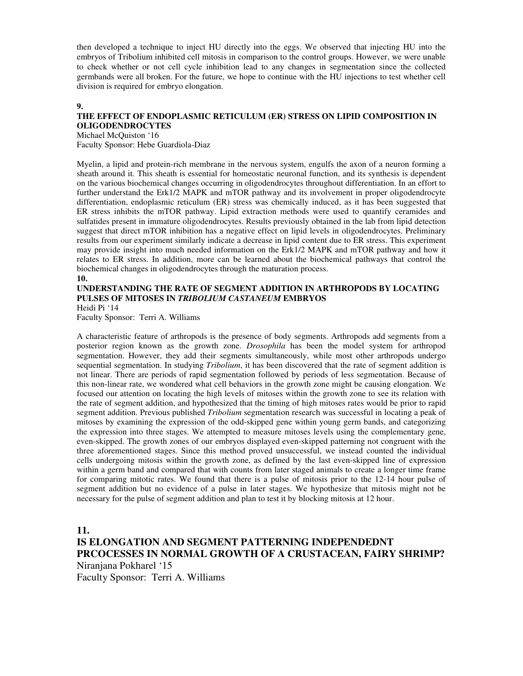then developed a technique to inject HU directly into the eggs. We observed that injecting HU into the embryos of Tribolium inhibited cell mitosis in comparison to the control groups. However, we were unable to check whether or not cell cycle inhibition lead to any changes in segmentation since the collected germbands were all broken. For the future, we hope to continue with the HU injections to test whether cell division is required for embryo elongation.

#### **9.**

**10.** 

## **THE EFFECT OF ENDOPLASMIC RETICULUM (ER) STRESS ON LIPID COMPOSITION IN OLIGODENDROCYTES**

Michael McQuiston '16 Faculty Sponsor: Hebe Guardiola-Diaz

Myelin, a lipid and protein-rich membrane in the nervous system, engulfs the axon of a neuron forming a sheath around it. This sheath is essential for homeostatic neuronal function, and its synthesis is dependent on the various biochemical changes occurring in oligodendrocytes throughout differentiation. In an effort to further understand the Erk1/2 MAPK and mTOR pathway and its involvement in proper oligodendrocyte differentiation, endoplasmic reticulum (ER) stress was chemically induced, as it has been suggested that ER stress inhibits the mTOR pathway. Lipid extraction methods were used to quantify ceramides and sulfatides present in immature oligodendrocytes. Results previously obtained in the lab from lipid detection suggest that direct mTOR inhibition has a negative effect on lipid levels in oligodendrocytes. Preliminary results from our experiment similarly indicate a decrease in lipid content due to ER stress. This experiment may provide insight into much needed information on the Erk1/2 MAPK and mTOR pathway and how it relates to ER stress. In addition, more can be learned about the biochemical pathways that control the biochemical changes in oligodendrocytes through the maturation process.

### **UNDERSTANDING THE RATE OF SEGMENT ADDITION IN ARTHROPODS BY LOCATING PULSES OF MITOSES IN** *TRIBOLIUM CASTANEUM* **EMBRYOS**  Heidi Pi '14

Faculty Sponsor: Terri A. Williams

A characteristic feature of arthropods is the presence of body segments. Arthropods add segments from a posterior region known as the growth zone. *Drosophila* has been the model system for arthropod segmentation. However, they add their segments simultaneously, while most other arthropods undergo sequential segmentation. In studying *Tribolium*, it has been discovered that the rate of segment addition is not linear. There are periods of rapid segmentation followed by periods of less segmentation. Because of this non-linear rate, we wondered what cell behaviors in the growth zone might be causing elongation. We focused our attention on locating the high levels of mitoses within the growth zone to see its relation with the rate of segment addition, and hypothesized that the timing of high mitoses rates would be prior to rapid segment addition. Previous published *Tribolium* segmentation research was successful in locating a peak of mitoses by examining the expression of the odd-skipped gene within young germ bands, and categorizing the expression into three stages. We attempted to measure mitoses levels using the complementary gene, even-skipped. The growth zones of our embryos displayed even-skipped patterning not congruent with the three aforementioned stages. Since this method proved unsuccessful, we instead counted the individual cells undergoing mitosis within the growth zone, as defined by the last even-skipped line of expression within a germ band and compared that with counts from later staged animals to create a longer time frame for comparing mitotic rates. We found that there is a pulse of mitosis prior to the 12-14 hour pulse of segment addition but no evidence of a pulse in later stages. We hypothesize that mitosis might not be necessary for the pulse of segment addition and plan to test it by blocking mitosis at 12 hour.

**11.** 

## **IS ELONGATION AND SEGMENT PATTERNING INDEPENDEDNT PRCOCESSES IN NORMAL GROWTH OF A CRUSTACEAN, FAIRY SHRIMP?**  Niranjana Pokharel '15 Faculty Sponsor: Terri A. Williams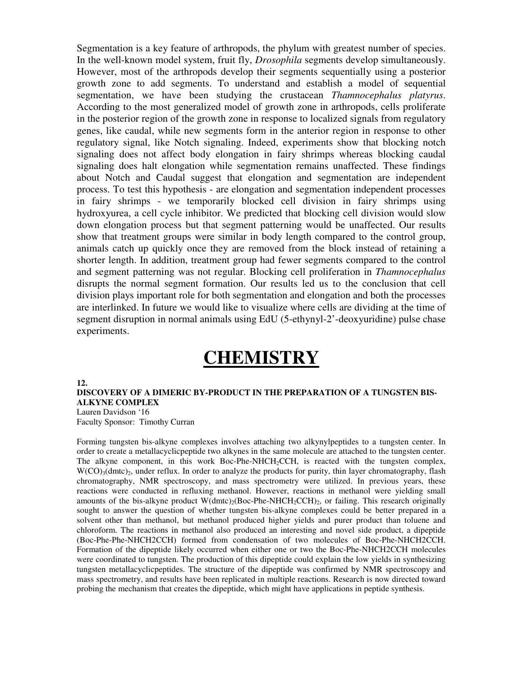Segmentation is a key feature of arthropods, the phylum with greatest number of species. In the well-known model system, fruit fly, *Drosophila* segments develop simultaneously. However, most of the arthropods develop their segments sequentially using a posterior growth zone to add segments. To understand and establish a model of sequential segmentation, we have been studying the crustacean *Thamnocephalus platyrus*. According to the most generalized model of growth zone in arthropods, cells proliferate in the posterior region of the growth zone in response to localized signals from regulatory genes, like caudal, while new segments form in the anterior region in response to other regulatory signal, like Notch signaling. Indeed, experiments show that blocking notch signaling does not affect body elongation in fairy shrimps whereas blocking caudal signaling does halt elongation while segmentation remains unaffected. These findings about Notch and Caudal suggest that elongation and segmentation are independent process. To test this hypothesis - are elongation and segmentation independent processes in fairy shrimps - we temporarily blocked cell division in fairy shrimps using hydroxyurea, a cell cycle inhibitor. We predicted that blocking cell division would slow down elongation process but that segment patterning would be unaffected. Our results show that treatment groups were similar in body length compared to the control group, animals catch up quickly once they are removed from the block instead of retaining a shorter length. In addition, treatment group had fewer segments compared to the control and segment patterning was not regular. Blocking cell proliferation in *Thamnocephalus* disrupts the normal segment formation. Our results led us to the conclusion that cell division plays important role for both segmentation and elongation and both the processes are interlinked. In future we would like to visualize where cells are dividing at the time of segment disruption in normal animals using EdU (5-ethynyl-2'-deoxyuridine) pulse chase experiments.

## **CHEMISTRY**

#### **12.**

## **DISCOVERY OF A DIMERIC BY-PRODUCT IN THE PREPARATION OF A TUNGSTEN BIS-ALKYNE COMPLEX**

Lauren Davidson '16 Faculty Sponsor: Timothy Curran

Forming tungsten bis-alkyne complexes involves attaching two alkynylpeptides to a tungsten center. In order to create a metallacyclicpeptide two alkynes in the same molecule are attached to the tungsten center. The alkyne component, in this work Boc-Phe-NHCH<sub>2</sub>CCH, is reacted with the tungsten complex,  $W(CO)$ <sub>3</sub>(dmtc)<sub>2</sub>, under reflux. In order to analyze the products for purity, thin layer chromatography, flash chromatography, NMR spectroscopy, and mass spectrometry were utilized. In previous years, these reactions were conducted in refluxing methanol. However, reactions in methanol were yielding small amounts of the bis-alkyne product  $W(dmc)_{2}(Boc-Phe-NHCH_{2}CCH)_{2}$ , or failing. This research originally sought to answer the question of whether tungsten bis-alkyne complexes could be better prepared in a solvent other than methanol, but methanol produced higher yields and purer product than toluene and chloroform. The reactions in methanol also produced an interesting and novel side product, a dipeptide (Boc-Phe-Phe-NHCH2CCH) formed from condensation of two molecules of Boc-Phe-NHCH2CCH. Formation of the dipeptide likely occurred when either one or two the Boc-Phe-NHCH2CCH molecules were coordinated to tungsten. The production of this dipeptide could explain the low yields in synthesizing tungsten metallacyclicpeptides. The structure of the dipeptide was confirmed by NMR spectroscopy and mass spectrometry, and results have been replicated in multiple reactions. Research is now directed toward probing the mechanism that creates the dipeptide, which might have applications in peptide synthesis.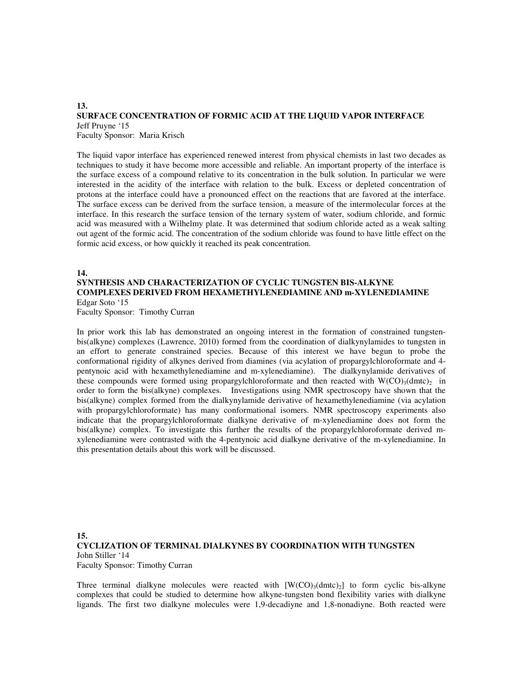## **13. SURFACE CONCENTRATION OF FORMIC ACID AT THE LIQUID VAPOR INTERFACE**  Jeff Pruyne '15

Faculty Sponsor: Maria Krisch

The liquid vapor interface has experienced renewed interest from physical chemists in last two decades as techniques to study it have become more accessible and reliable. An important property of the interface is the surface excess of a compound relative to its concentration in the bulk solution. In particular we were interested in the acidity of the interface with relation to the bulk. Excess or depleted concentration of protons at the interface could have a pronounced effect on the reactions that are favored at the interface. The surface excess can be derived from the surface tension, a measure of the intermolecular forces at the interface. In this research the surface tension of the ternary system of water, sodium chloride, and formic acid was measured with a Wilhelmy plate. It was determined that sodium chloride acted as a weak salting out agent of the formic acid. The concentration of the sodium chloride was found to have little effect on the formic acid excess, or how quickly it reached its peak concentration.

#### **14. SYNTHESIS AND CHARACTERIZATION OF CYCLIC TUNGSTEN BIS-ALKYNE COMPLEXES DERIVED FROM HEXAMETHYLENEDIAMINE AND m-XYLENEDIAMINE**  Edgar Soto '15

Faculty Sponsor: Timothy Curran

In prior work this lab has demonstrated an ongoing interest in the formation of constrained tungstenbis(alkyne) complexes (Lawrence, 2010) formed from the coordination of dialkynylamides to tungsten in an effort to generate constrained species. Because of this interest we have begun to probe the conformational rigidity of alkynes derived from diamines (via acylation of propargylchloroformate and 4 pentynoic acid with hexamethylenediamine and m-xylenediamine). The dialkynylamide derivatives of these compounds were formed using propargylchloroformate and then reacted with  $W(CO)_{3}(dmtc)$ , in order to form the bis(alkyne) complexes. Investigations using NMR spectroscopy have shown that the bis(alkyne) complex formed from the dialkynylamide derivative of hexamethylenediamine (via acylation with propargylchloroformate) has many conformational isomers. NMR spectroscopy experiments also indicate that the propargylchloroformate dialkyne derivative of m-xylenediamine does not form the bis(alkyne) complex. To investigate this further the results of the propargylchloroformate derived mxylenediamine were contrasted with the 4-pentynoic acid dialkyne derivative of the m-xylenediamine. In this presentation details about this work will be discussed.

**15. CYCLIZATION OF TERMINAL DIALKYNES BY COORDINATION WITH TUNGSTEN**  John Stiller '14 Faculty Sponsor: Timothy Curran

Three terminal dialkyne molecules were reacted with  $[W(CO)_3(dmtc)_2]$  to form cyclic bis-alkyne complexes that could be studied to determine how alkyne-tungsten bond flexibility varies with dialkyne ligands. The first two dialkyne molecules were 1,9-decadiyne and 1,8-nonadiyne. Both reacted were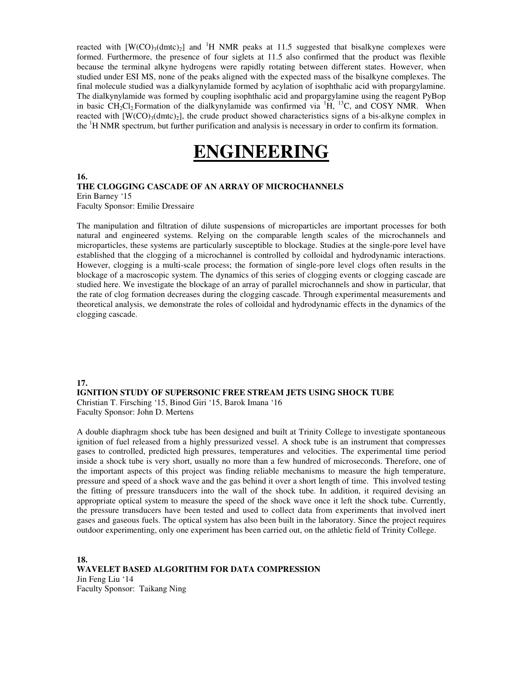reacted with  $[W(CO)_{3}(dmtc)_{2}]$  and <sup>1</sup>H NMR peaks at 11.5 suggested that bisalkyne complexes were formed. Furthermore, the presence of four siglets at 11.5 also confirmed that the product was flexible because the terminal alkyne hydrogens were rapidly rotating between different states. However, when studied under ESI MS, none of the peaks aligned with the expected mass of the bisalkyne complexes. The final molecule studied was a dialkynylamide formed by acylation of isophthalic acid with propargylamine. The dialkynylamide was formed by coupling isophthalic acid and propargylamine using the reagent PyBop in basic CH<sub>2</sub>Cl<sub>2</sub>. Formation of the dialkynylamide was confirmed via  ${}^{1}H$ ,  ${}^{13}C$ , and COSY NMR. When reacted with  $[W(CO)_{3}(dmtc)_{2}]$ , the crude product showed characteristics signs of a bis-alkyne complex in the  ${}^{1}$ H NMR spectrum, but further purification and analysis is necessary in order to confirm its formation.

## **ENGINEERING**

#### **16.**

#### **THE CLOGGING CASCADE OF AN ARRAY OF MICROCHANNELS**  Erin Barney '15

Faculty Sponsor: Emilie Dressaire

The manipulation and filtration of dilute suspensions of microparticles are important processes for both natural and engineered systems. Relying on the comparable length scales of the microchannels and microparticles, these systems are particularly susceptible to blockage. Studies at the single-pore level have established that the clogging of a microchannel is controlled by colloidal and hydrodynamic interactions. However, clogging is a multi-scale process; the formation of single-pore level clogs often results in the blockage of a macroscopic system. The dynamics of this series of clogging events or clogging cascade are studied here. We investigate the blockage of an array of parallel microchannels and show in particular, that the rate of clog formation decreases during the clogging cascade. Through experimental measurements and theoretical analysis, we demonstrate the roles of colloidal and hydrodynamic effects in the dynamics of the clogging cascade.

**17. IGNITION STUDY OF SUPERSONIC FREE STREAM JETS USING SHOCK TUBE**  Christian T. Firsching '15, Binod Giri '15, Barok Imana '16 Faculty Sponsor: John D. Mertens

A double diaphragm shock tube has been designed and built at Trinity College to investigate spontaneous ignition of fuel released from a highly pressurized vessel. A shock tube is an instrument that compresses gases to controlled, predicted high pressures, temperatures and velocities. The experimental time period inside a shock tube is very short, usually no more than a few hundred of microseconds. Therefore, one of the important aspects of this project was finding reliable mechanisms to measure the high temperature, pressure and speed of a shock wave and the gas behind it over a short length of time. This involved testing the fitting of pressure transducers into the wall of the shock tube. In addition, it required devising an appropriate optical system to measure the speed of the shock wave once it left the shock tube. Currently, the pressure transducers have been tested and used to collect data from experiments that involved inert gases and gaseous fuels. The optical system has also been built in the laboratory. Since the project requires outdoor experimenting, only one experiment has been carried out, on the athletic field of Trinity College.

**18. WAVELET BASED ALGORITHM FOR DATA COMPRESSION**  Jin Feng Liu '14 Faculty Sponsor: Taikang Ning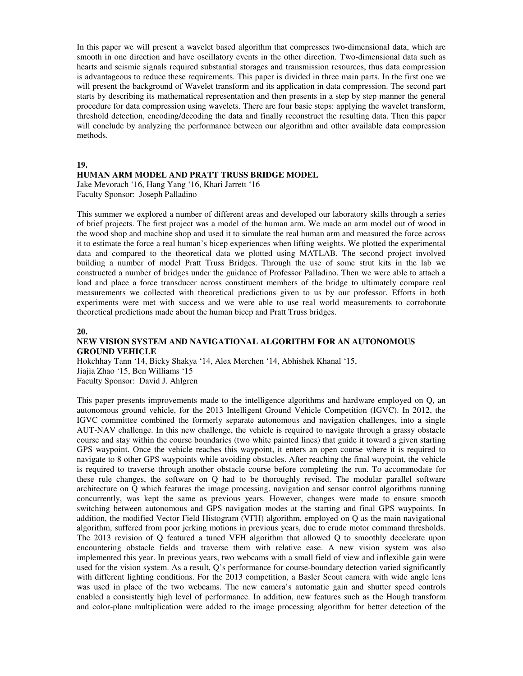In this paper we will present a wavelet based algorithm that compresses two-dimensional data, which are smooth in one direction and have oscillatory events in the other direction. Two-dimensional data such as hearts and seismic signals required substantial storages and transmission resources, thus data compression is advantageous to reduce these requirements. This paper is divided in three main parts. In the first one we will present the background of Wavelet transform and its application in data compression. The second part starts by describing its mathematical representation and then presents in a step by step manner the general procedure for data compression using wavelets. There are four basic steps: applying the wavelet transform, threshold detection, encoding/decoding the data and finally reconstruct the resulting data. Then this paper will conclude by analyzing the performance between our algorithm and other available data compression methods.

#### **19.**

## **HUMAN ARM MODEL AND PRATT TRUSS BRIDGE MODEL**

Jake Mevorach '16, Hang Yang '16, Khari Jarrett '16 Faculty Sponsor: Joseph Palladino

This summer we explored a number of different areas and developed our laboratory skills through a series of brief projects. The first project was a model of the human arm. We made an arm model out of wood in the wood shop and machine shop and used it to simulate the real human arm and measured the force across it to estimate the force a real human's bicep experiences when lifting weights. We plotted the experimental data and compared to the theoretical data we plotted using MATLAB. The second project involved building a number of model Pratt Truss Bridges. Through the use of some strut kits in the lab we constructed a number of bridges under the guidance of Professor Palladino. Then we were able to attach a load and place a force transducer across constituent members of the bridge to ultimately compare real measurements we collected with theoretical predictions given to us by our professor. Efforts in both experiments were met with success and we were able to use real world measurements to corroborate theoretical predictions made about the human bicep and Pratt Truss bridges.

#### **20.**

### **NEW VISION SYSTEM AND NAVIGATIONAL ALGORITHM FOR AN AUTONOMOUS GROUND VEHICLE**

Hokchhay Tann '14, Bicky Shakya '14, Alex Merchen '14, Abhishek Khanal '15, Jiajia Zhao '15, Ben Williams '15 Faculty Sponsor: David J. Ahlgren

This paper presents improvements made to the intelligence algorithms and hardware employed on Q, an autonomous ground vehicle, for the 2013 Intelligent Ground Vehicle Competition (IGVC). In 2012, the IGVC committee combined the formerly separate autonomous and navigation challenges, into a single AUT-NAV challenge. In this new challenge, the vehicle is required to navigate through a grassy obstacle course and stay within the course boundaries (two white painted lines) that guide it toward a given starting GPS waypoint. Once the vehicle reaches this waypoint, it enters an open course where it is required to navigate to 8 other GPS waypoints while avoiding obstacles. After reaching the final waypoint, the vehicle is required to traverse through another obstacle course before completing the run. To accommodate for these rule changes, the software on Q had to be thoroughly revised. The modular parallel software architecture on Q which features the image processing, navigation and sensor control algorithms running concurrently, was kept the same as previous years. However, changes were made to ensure smooth switching between autonomous and GPS navigation modes at the starting and final GPS waypoints. In addition, the modified Vector Field Histogram (VFH) algorithm, employed on Q as the main navigational algorithm, suffered from poor jerking motions in previous years, due to crude motor command thresholds. The 2013 revision of Q featured a tuned VFH algorithm that allowed Q to smoothly decelerate upon encountering obstacle fields and traverse them with relative ease. A new vision system was also implemented this year. In previous years, two webcams with a small field of view and inflexible gain were used for the vision system. As a result, Q's performance for course-boundary detection varied significantly with different lighting conditions. For the 2013 competition, a Basler Scout camera with wide angle lens was used in place of the two webcams. The new camera's automatic gain and shutter speed controls enabled a consistently high level of performance. In addition, new features such as the Hough transform and color-plane multiplication were added to the image processing algorithm for better detection of the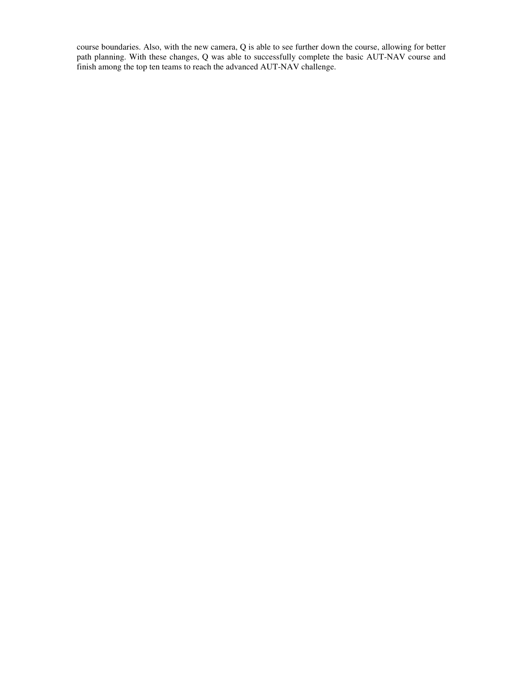course boundaries. Also, with the new camera, Q is able to see further down the course, allowing for better path planning. With these changes, Q was able to successfully complete the basic AUT-NAV course and finish among the top ten teams to reach the advanced AUT-NAV challenge.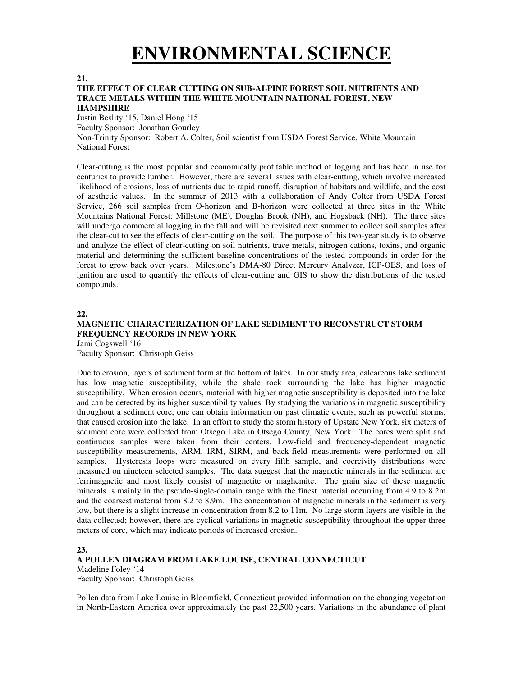## **ENVIRONMENTAL SCIENCE**

**21.** 

#### **THE EFFECT OF CLEAR CUTTING ON SUB-ALPINE FOREST SOIL NUTRIENTS AND TRACE METALS WITHIN THE WHITE MOUNTAIN NATIONAL FOREST, NEW HAMPSHIRE**

Justin Beslity '15, Daniel Hong '15 Faculty Sponsor: Jonathan Gourley Non-Trinity Sponsor: Robert A. Colter, Soil scientist from USDA Forest Service, White Mountain National Forest

Clear-cutting is the most popular and economically profitable method of logging and has been in use for centuries to provide lumber. However, there are several issues with clear-cutting, which involve increased likelihood of erosions, loss of nutrients due to rapid runoff, disruption of habitats and wildlife, and the cost of aesthetic values. In the summer of 2013 with a collaboration of Andy Colter from USDA Forest Service, 266 soil samples from O-horizon and B-horizon were collected at three sites in the White Mountains National Forest: Millstone (ME), Douglas Brook (NH), and Hogsback (NH). The three sites will undergo commercial logging in the fall and will be revisited next summer to collect soil samples after the clear-cut to see the effects of clear-cutting on the soil. The purpose of this two-year study is to observe and analyze the effect of clear-cutting on soil nutrients, trace metals, nitrogen cations, toxins, and organic material and determining the sufficient baseline concentrations of the tested compounds in order for the forest to grow back over years. Milestone's DMA-80 Direct Mercury Analyzer, ICP-OES, and loss of ignition are used to quantify the effects of clear-cutting and GIS to show the distributions of the tested compounds.

**22.** 

### **MAGNETIC CHARACTERIZATION OF LAKE SEDIMENT TO RECONSTRUCT STORM FREQUENCY RECORDS IN NEW YORK**  Jami Cogswell '16 Faculty Sponsor: Christoph Geiss

Due to erosion, layers of sediment form at the bottom of lakes. In our study area, calcareous lake sediment has low magnetic susceptibility, while the shale rock surrounding the lake has higher magnetic susceptibility. When erosion occurs, material with higher magnetic susceptibility is deposited into the lake and can be detected by its higher susceptibility values. By studying the variations in magnetic susceptibility throughout a sediment core, one can obtain information on past climatic events, such as powerful storms, that caused erosion into the lake. In an effort to study the storm history of Upstate New York, six meters of sediment core were collected from Otsego Lake in Otsego County, New York. The cores were split and continuous samples were taken from their centers. Low-field and frequency-dependent magnetic susceptibility measurements, ARM, IRM, SIRM, and back-field measurements were performed on all samples. Hysteresis loops were measured on every fifth sample, and coercivity distributions were measured on nineteen selected samples. The data suggest that the magnetic minerals in the sediment are ferrimagnetic and most likely consist of magnetite or maghemite. The grain size of these magnetic minerals is mainly in the pseudo-single-domain range with the finest material occurring from 4.9 to 8.2m and the coarsest material from 8.2 to 8.9m. The concentration of magnetic minerals in the sediment is very low, but there is a slight increase in concentration from 8.2 to 11m. No large storm layers are visible in the data collected; however, there are cyclical variations in magnetic susceptibility throughout the upper three meters of core, which may indicate periods of increased erosion.

**23.** 

### **A POLLEN DIAGRAM FROM LAKE LOUISE, CENTRAL CONNECTICUT**  Madeline Foley '14

Faculty Sponsor: Christoph Geiss

Pollen data from Lake Louise in Bloomfield, Connecticut provided information on the changing vegetation in North-Eastern America over approximately the past 22,500 years. Variations in the abundance of plant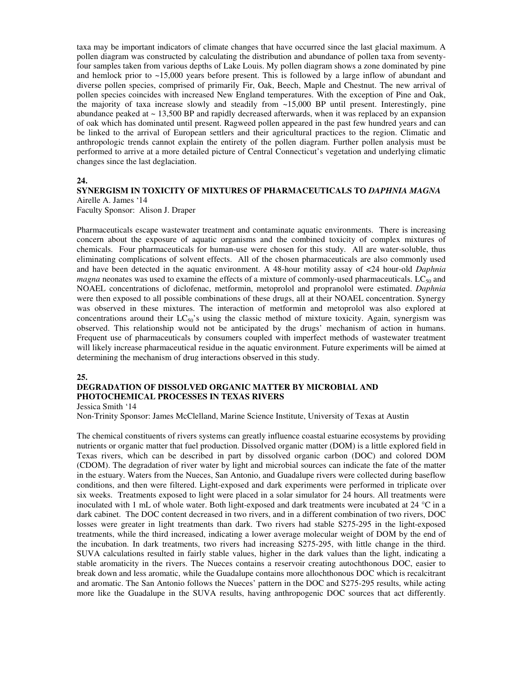taxa may be important indicators of climate changes that have occurred since the last glacial maximum. A pollen diagram was constructed by calculating the distribution and abundance of pollen taxa from seventyfour samples taken from various depths of Lake Louis. My pollen diagram shows a zone dominated by pine and hemlock prior to ~15,000 years before present. This is followed by a large inflow of abundant and diverse pollen species, comprised of primarily Fir, Oak, Beech, Maple and Chestnut. The new arrival of pollen species coincides with increased New England temperatures. With the exception of Pine and Oak, the majority of taxa increase slowly and steadily from ~15,000 BP until present. Interestingly, pine abundance peaked at  $\sim$  13,500 BP and rapidly decreased afterwards, when it was replaced by an expansion of oak which has dominated until present. Ragweed pollen appeared in the past few hundred years and can be linked to the arrival of European settlers and their agricultural practices to the region. Climatic and anthropologic trends cannot explain the entirety of the pollen diagram. Further pollen analysis must be performed to arrive at a more detailed picture of Central Connecticut's vegetation and underlying climatic changes since the last deglaciation.

#### **24.**

### **SYNERGISM IN TOXICITY OF MIXTURES OF PHARMACEUTICALS TO** *DAPHNIA MAGNA* Airelle A. James '14

Faculty Sponsor: Alison J. Draper

Pharmaceuticals escape wastewater treatment and contaminate aquatic environments. There is increasing concern about the exposure of aquatic organisms and the combined toxicity of complex mixtures of chemicals. Four pharmaceuticals for human-use were chosen for this study. All are water-soluble, thus eliminating complications of solvent effects. All of the chosen pharmaceuticals are also commonly used and have been detected in the aquatic environment. A 48-hour motility assay of <24 hour-old *Daphnia magna* neonates was used to examine the effects of a mixture of commonly-used pharmaceuticals. LC<sub>50</sub> and NOAEL concentrations of diclofenac, metformin, metoprolol and propranolol were estimated. *Daphnia* were then exposed to all possible combinations of these drugs, all at their NOAEL concentration. Synergy was observed in these mixtures. The interaction of metformin and metoprolol was also explored at concentrations around their  $LC_{50}$ 's using the classic method of mixture toxicity. Again, synergism was observed. This relationship would not be anticipated by the drugs' mechanism of action in humans. Frequent use of pharmaceuticals by consumers coupled with imperfect methods of wastewater treatment will likely increase pharmaceutical residue in the aquatic environment. Future experiments will be aimed at determining the mechanism of drug interactions observed in this study.

#### **25.**

## **DEGRADATION OF DISSOLVED ORGANIC MATTER BY MICROBIAL AND PHOTOCHEMICAL PROCESSES IN TEXAS RIVERS**

Jessica Smith '14

Non-Trinity Sponsor: James McClelland, Marine Science Institute, University of Texas at Austin

The chemical constituents of rivers systems can greatly influence coastal estuarine ecosystems by providing nutrients or organic matter that fuel production. Dissolved organic matter (DOM) is a little explored field in Texas rivers, which can be described in part by dissolved organic carbon (DOC) and colored DOM (CDOM). The degradation of river water by light and microbial sources can indicate the fate of the matter in the estuary. Waters from the Nueces, San Antonio, and Guadalupe rivers were collected during baseflow conditions, and then were filtered. Light-exposed and dark experiments were performed in triplicate over six weeks. Treatments exposed to light were placed in a solar simulator for 24 hours. All treatments were inoculated with 1 mL of whole water. Both light-exposed and dark treatments were incubated at 24 °C in a dark cabinet. The DOC content decreased in two rivers, and in a different combination of two rivers, DOC losses were greater in light treatments than dark. Two rivers had stable S275-295 in the light-exposed treatments, while the third increased, indicating a lower average molecular weight of DOM by the end of the incubation. In dark treatments, two rivers had increasing S275-295, with little change in the third. SUVA calculations resulted in fairly stable values, higher in the dark values than the light, indicating a stable aromaticity in the rivers. The Nueces contains a reservoir creating autochthonous DOC, easier to break down and less aromatic, while the Guadalupe contains more allochthonous DOC which is recalcitrant and aromatic. The San Antonio follows the Nueces' pattern in the DOC and S275-295 results, while acting more like the Guadalupe in the SUVA results, having anthropogenic DOC sources that act differently.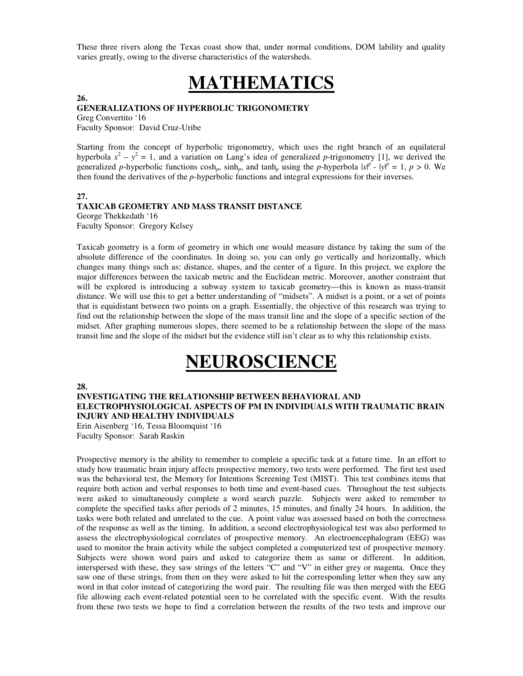These three rivers along the Texas coast show that, under normal conditions, DOM lability and quality varies greatly, owing to the diverse characteristics of the watersheds.

## **MATHEMATICS**

**26.** 

### **GENERALIZATIONS OF HYPERBOLIC TRIGONOMETRY**

Greg Convertito '16

Faculty Sponsor: David Cruz-Uribe

Starting from the concept of hyperbolic trigonometry, which uses the right branch of an equilateral hyperbola  $x^2 - y^2 = 1$ , and a variation on Lang's idea of generalized *p*-trigonometry [1], we derived the generalized *p*-hyperbolic functions  $cosh_p$ ,  $sinh_p$ , and  $tanh_p$  using the *p*-hyperbola  $|x|^p - |y|^p = 1$ ,  $p > 0$ . We then found the derivatives of the *p*-hyperbolic functions and integral expressions for their inverses.

### **27. TAXICAB GEOMETRY AND MASS TRANSIT DISTANCE**  George Thekkedath '16

Faculty Sponsor: Gregory Kelsey

Taxicab geometry is a form of geometry in which one would measure distance by taking the sum of the absolute difference of the coordinates. In doing so, you can only go vertically and horizontally, which changes many things such as: distance, shapes, and the center of a figure. In this project, we explore the major differences between the taxicab metric and the Euclidean metric. Moreover, another constraint that will be explored is introducing a subway system to taxicab geometry—this is known as mass-transit distance. We will use this to get a better understanding of "midsets". A midset is a point, or a set of points that is equidistant between two points on a graph. Essentially, the objective of this research was trying to find out the relationship between the slope of the mass transit line and the slope of a specific section of the midset. After graphing numerous slopes, there seemed to be a relationship between the slope of the mass transit line and the slope of the midset but the evidence still isn't clear as to why this relationship exists.

## **NEUROSCIENCE**

**28.** 

## **INVESTIGATING THE RELATIONSHIP BETWEEN BEHAVIORAL AND ELECTROPHYSIOLOGICAL ASPECTS OF PM IN INDIVIDUALS WITH TRAUMATIC BRAIN INJURY AND HEALTHY INDIVIDUALS**

Erin Aisenberg '16, Tessa Bloomquist '16 Faculty Sponsor: Sarah Raskin

Prospective memory is the ability to remember to complete a specific task at a future time. In an effort to study how traumatic brain injury affects prospective memory, two tests were performed. The first test used was the behavioral test, the Memory for Intentions Screening Test (MIST). This test combines items that require both action and verbal responses to both time and event-based cues. Throughout the test subjects were asked to simultaneously complete a word search puzzle. Subjects were asked to remember to complete the specified tasks after periods of 2 minutes, 15 minutes, and finally 24 hours. In addition, the tasks were both related and unrelated to the cue. A point value was assessed based on both the correctness of the response as well as the timing. In addition, a second electrophysiological test was also performed to assess the electrophysiological correlates of prospective memory. An electroencephalogram (EEG) was used to monitor the brain activity while the subject completed a computerized test of prospective memory. Subjects were shown word pairs and asked to categorize them as same or different. In addition, interspersed with these, they saw strings of the letters "C" and "V" in either grey or magenta. Once they saw one of these strings, from then on they were asked to hit the corresponding letter when they saw any word in that color instead of categorizing the word pair. The resulting file was then merged with the EEG file allowing each event-related potential seen to be correlated with the specific event. With the results from these two tests we hope to find a correlation between the results of the two tests and improve our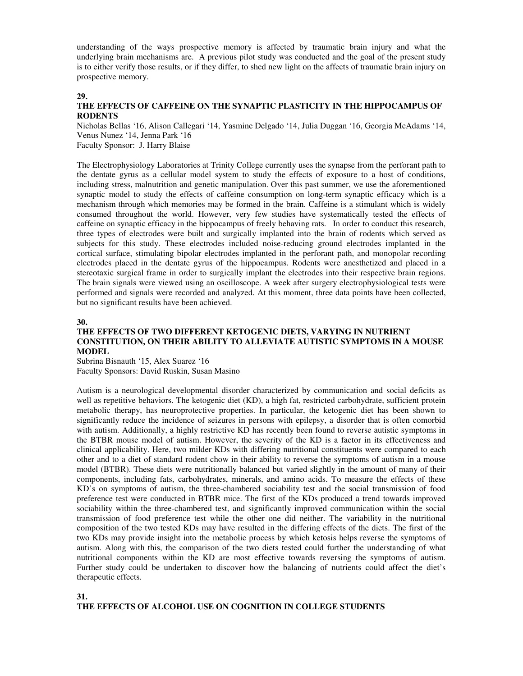understanding of the ways prospective memory is affected by traumatic brain injury and what the underlying brain mechanisms are. A previous pilot study was conducted and the goal of the present study is to either verify those results, or if they differ, to shed new light on the affects of traumatic brain injury on prospective memory.

#### **29.**

### **THE EFFECTS OF CAFFEINE ON THE SYNAPTIC PLASTICITY IN THE HIPPOCAMPUS OF RODENTS**

Nicholas Bellas '16, Alison Callegari '14, Yasmine Delgado '14, Julia Duggan '16, Georgia McAdams '14, Venus Nunez '14, Jenna Park '16

Faculty Sponsor: J. Harry Blaise

The Electrophysiology Laboratories at Trinity College currently uses the synapse from the perforant path to the dentate gyrus as a cellular model system to study the effects of exposure to a host of conditions, including stress, malnutrition and genetic manipulation. Over this past summer, we use the aforementioned synaptic model to study the effects of caffeine consumption on long-term synaptic efficacy which is a mechanism through which memories may be formed in the brain. Caffeine is a stimulant which is widely consumed throughout the world. However, very few studies have systematically tested the effects of caffeine on synaptic efficacy in the hippocampus of freely behaving rats. In order to conduct this research, three types of electrodes were built and surgically implanted into the brain of rodents which served as subjects for this study. These electrodes included noise-reducing ground electrodes implanted in the cortical surface, stimulating bipolar electrodes implanted in the perforant path, and monopolar recording electrodes placed in the dentate gyrus of the hippocampus. Rodents were anesthetized and placed in a stereotaxic surgical frame in order to surgically implant the electrodes into their respective brain regions. The brain signals were viewed using an oscilloscope. A week after surgery electrophysiological tests were performed and signals were recorded and analyzed. At this moment, three data points have been collected, but no significant results have been achieved.

#### **30.**

### **THE EFFECTS OF TWO DIFFERENT KETOGENIC DIETS, VARYING IN NUTRIENT CONSTITUTION, ON THEIR ABILITY TO ALLEVIATE AUTISTIC SYMPTOMS IN A MOUSE MODEL**

Subrina Bisnauth '15, Alex Suarez '16 Faculty Sponsors: David Ruskin, Susan Masino

Autism is a neurological developmental disorder characterized by communication and social deficits as well as repetitive behaviors. The ketogenic diet (KD), a high fat, restricted carbohydrate, sufficient protein metabolic therapy, has neuroprotective properties. In particular, the ketogenic diet has been shown to significantly reduce the incidence of seizures in persons with epilepsy, a disorder that is often comorbid with autism. Additionally, a highly restrictive KD has recently been found to reverse autistic symptoms in the BTBR mouse model of autism. However, the severity of the KD is a factor in its effectiveness and clinical applicability. Here, two milder KDs with differing nutritional constituents were compared to each other and to a diet of standard rodent chow in their ability to reverse the symptoms of autism in a mouse model (BTBR). These diets were nutritionally balanced but varied slightly in the amount of many of their components, including fats, carbohydrates, minerals, and amino acids. To measure the effects of these KD's on symptoms of autism, the three-chambered sociability test and the social transmission of food preference test were conducted in BTBR mice. The first of the KDs produced a trend towards improved sociability within the three-chambered test, and significantly improved communication within the social transmission of food preference test while the other one did neither. The variability in the nutritional composition of the two tested KDs may have resulted in the differing effects of the diets. The first of the two KDs may provide insight into the metabolic process by which ketosis helps reverse the symptoms of autism. Along with this, the comparison of the two diets tested could further the understanding of what nutritional components within the KD are most effective towards reversing the symptoms of autism. Further study could be undertaken to discover how the balancing of nutrients could affect the diet's therapeutic effects.

### **31. THE EFFECTS OF ALCOHOL USE ON COGNITION IN COLLEGE STUDENTS**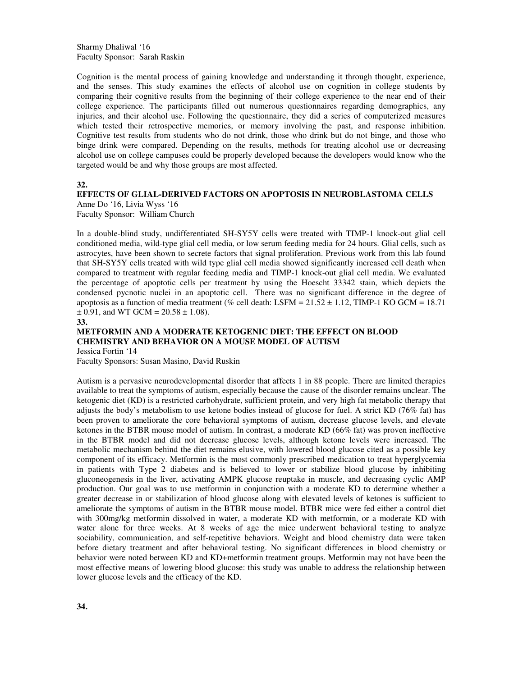Sharmy Dhaliwal '16 Faculty Sponsor: Sarah Raskin

Cognition is the mental process of gaining knowledge and understanding it through thought, experience, and the senses. This study examines the effects of alcohol use on cognition in college students by comparing their cognitive results from the beginning of their college experience to the near end of their college experience. The participants filled out numerous questionnaires regarding demographics, any injuries, and their alcohol use. Following the questionnaire, they did a series of computerized measures which tested their retrospective memories, or memory involving the past, and response inhibition. Cognitive test results from students who do not drink, those who drink but do not binge, and those who binge drink were compared. Depending on the results, methods for treating alcohol use or decreasing alcohol use on college campuses could be properly developed because the developers would know who the targeted would be and why those groups are most affected.

#### **32.**

#### **EFFECTS OF GLIAL-DERIVED FACTORS ON APOPTOSIS IN NEUROBLASTOMA CELLS**  Anne Do '16, Livia Wyss '16

Faculty Sponsor: William Church

In a double-blind study, undifferentiated SH-SY5Y cells were treated with TIMP-1 knock-out glial cell conditioned media, wild-type glial cell media, or low serum feeding media for 24 hours. Glial cells, such as astrocytes, have been shown to secrete factors that signal proliferation. Previous work from this lab found that SH-SY5Y cells treated with wild type glial cell media showed significantly increased cell death when compared to treatment with regular feeding media and TIMP-1 knock-out glial cell media. We evaluated the percentage of apoptotic cells per treatment by using the Hoescht 33342 stain, which depicts the condensed pycnotic nuclei in an apoptotic cell. There was no significant difference in the degree of apoptosis as a function of media treatment (% cell death: LSFM =  $21.52 \pm 1.12$ , TIMP-1 KO GCM = 18.71  $\pm$  0.91, and WT GCM = 20.58  $\pm$  1.08).

#### **33.**

## **METFORMIN AND A MODERATE KETOGENIC DIET: THE EFFECT ON BLOOD CHEMISTRY AND BEHAVIOR ON A MOUSE MODEL OF AUTISM**

Jessica Fortin '14

Faculty Sponsors: Susan Masino, David Ruskin

Autism is a pervasive neurodevelopmental disorder that affects 1 in 88 people. There are limited therapies available to treat the symptoms of autism, especially because the cause of the disorder remains unclear. The ketogenic diet (KD) is a restricted carbohydrate, sufficient protein, and very high fat metabolic therapy that adjusts the body's metabolism to use ketone bodies instead of glucose for fuel. A strict KD (76% fat) has been proven to ameliorate the core behavioral symptoms of autism, decrease glucose levels, and elevate ketones in the BTBR mouse model of autism. In contrast, a moderate KD (66% fat) was proven ineffective in the BTBR model and did not decrease glucose levels, although ketone levels were increased. The metabolic mechanism behind the diet remains elusive, with lowered blood glucose cited as a possible key component of its efficacy. Metformin is the most commonly prescribed medication to treat hyperglycemia in patients with Type 2 diabetes and is believed to lower or stabilize blood glucose by inhibiting gluconeogenesis in the liver, activating AMPK glucose reuptake in muscle, and decreasing cyclic AMP production. Our goal was to use metformin in conjunction with a moderate KD to determine whether a greater decrease in or stabilization of blood glucose along with elevated levels of ketones is sufficient to ameliorate the symptoms of autism in the BTBR mouse model. BTBR mice were fed either a control diet with 300mg/kg metformin dissolved in water, a moderate KD with metformin, or a moderate KD with water alone for three weeks. At 8 weeks of age the mice underwent behavioral testing to analyze sociability, communication, and self-repetitive behaviors. Weight and blood chemistry data were taken before dietary treatment and after behavioral testing. No significant differences in blood chemistry or behavior were noted between KD and KD+metformin treatment groups. Metformin may not have been the most effective means of lowering blood glucose: this study was unable to address the relationship between lower glucose levels and the efficacy of the KD.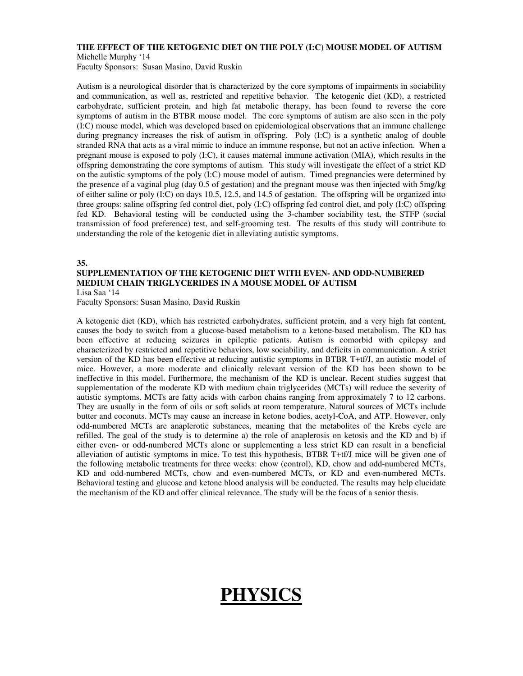### **THE EFFECT OF THE KETOGENIC DIET ON THE POLY (I:C) MOUSE MODEL OF AUTISM**  Michelle Murphy '14

Faculty Sponsors: Susan Masino, David Ruskin

Autism is a neurological disorder that is characterized by the core symptoms of impairments in sociability and communication, as well as, restricted and repetitive behavior. The ketogenic diet (KD), a restricted carbohydrate, sufficient protein, and high fat metabolic therapy, has been found to reverse the core symptoms of autism in the BTBR mouse model. The core symptoms of autism are also seen in the poly (I:C) mouse model, which was developed based on epidemiological observations that an immune challenge during pregnancy increases the risk of autism in offspring. Poly (I:C) is a synthetic analog of double stranded RNA that acts as a viral mimic to induce an immune response, but not an active infection. When a pregnant mouse is exposed to poly (I:C), it causes maternal immune activation (MIA), which results in the offspring demonstrating the core symptoms of autism. This study will investigate the effect of a strict KD on the autistic symptoms of the poly  $(I:C)$  mouse model of autism. Timed pregnancies were determined by the presence of a vaginal plug (day 0.5 of gestation) and the pregnant mouse was then injected with 5mg/kg of either saline or poly (I:C) on days 10.5, 12.5, and 14.5 of gestation. The offspring will be organized into three groups: saline offspring fed control diet, poly (I:C) offspring fed control diet, and poly (I:C) offspring fed KD. Behavioral testing will be conducted using the 3-chamber sociability test, the STFP (social transmission of food preference) test, and self-grooming test. The results of this study will contribute to understanding the role of the ketogenic diet in alleviating autistic symptoms.

#### **35.**

#### **SUPPLEMENTATION OF THE KETOGENIC DIET WITH EVEN- AND ODD-NUMBERED MEDIUM CHAIN TRIGLYCERIDES IN A MOUSE MODEL OF AUTISM**  Lisa Saa '14

Faculty Sponsors: Susan Masino, David Ruskin

A ketogenic diet (KD), which has restricted carbohydrates, sufficient protein, and a very high fat content, causes the body to switch from a glucose-based metabolism to a ketone-based metabolism. The KD has been effective at reducing seizures in epileptic patients. Autism is comorbid with epilepsy and characterized by restricted and repetitive behaviors, low sociability, and deficits in communication. A strict version of the KD has been effective at reducing autistic symptoms in BTBR T+tf/J, an autistic model of mice. However, a more moderate and clinically relevant version of the KD has been shown to be ineffective in this model. Furthermore, the mechanism of the KD is unclear. Recent studies suggest that supplementation of the moderate KD with medium chain triglycerides (MCTs) will reduce the severity of autistic symptoms. MCTs are fatty acids with carbon chains ranging from approximately 7 to 12 carbons. They are usually in the form of oils or soft solids at room temperature. Natural sources of MCTs include butter and coconuts. MCTs may cause an increase in ketone bodies, acetyl-CoA, and ATP. However, only odd-numbered MCTs are anaplerotic substances, meaning that the metabolites of the Krebs cycle are refilled. The goal of the study is to determine a) the role of anaplerosis on ketosis and the KD and b) if either even- or odd-numbered MCTs alone or supplementing a less strict KD can result in a beneficial alleviation of autistic symptoms in mice. To test this hypothesis, BTBR T+tf/J mice will be given one of the following metabolic treatments for three weeks: chow (control), KD, chow and odd-numbered MCTs, KD and odd-numbered MCTs, chow and even-numbered MCTs, or KD and even-numbered MCTs. Behavioral testing and glucose and ketone blood analysis will be conducted. The results may help elucidate the mechanism of the KD and offer clinical relevance. The study will be the focus of a senior thesis.

## **PHYSICS**